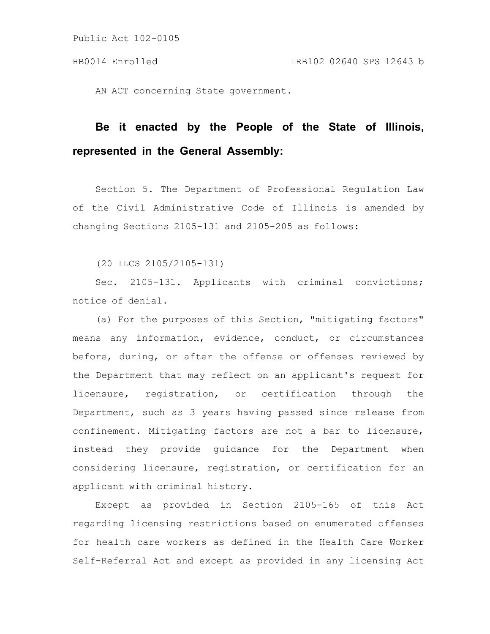AN ACT concerning State government.

## **Be it enacted by the People of the State of Illinois, represented in the General Assembly:**

Section 5. The Department of Professional Regulation Law of the Civil Administrative Code of Illinois is amended by changing Sections 2105-131 and 2105-205 as follows:

(20 ILCS 2105/2105-131)

Sec. 2105-131. Applicants with criminal convictions; notice of denial.

(a) For the purposes of this Section, "mitigating factors" means any information, evidence, conduct, or circumstances before, during, or after the offense or offenses reviewed by the Department that may reflect on an applicant's request for licensure, registration, or certification through the Department, such as 3 years having passed since release from confinement. Mitigating factors are not a bar to licensure, instead they provide guidance for the Department when considering licensure, registration, or certification for an applicant with criminal history.

Except as provided in Section 2105-165 of this Act regarding licensing restrictions based on enumerated offenses for health care workers as defined in the Health Care Worker Self-Referral Act and except as provided in any licensing Act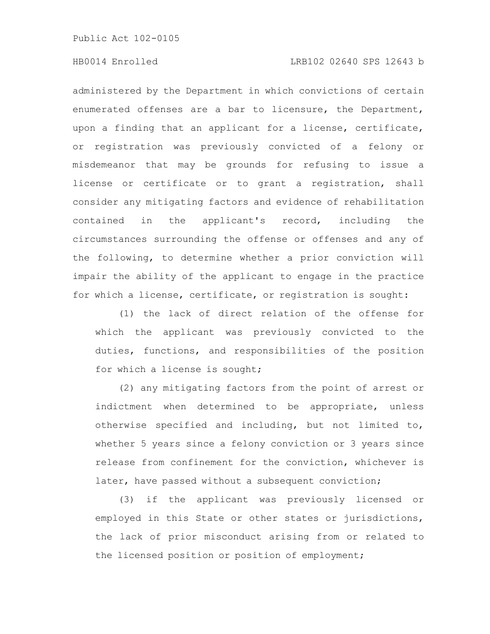## HB0014 Enrolled LRB102 02640 SPS 12643 b

administered by the Department in which convictions of certain enumerated offenses are a bar to licensure, the Department, upon a finding that an applicant for a license, certificate, or registration was previously convicted of a felony or misdemeanor that may be grounds for refusing to issue a license or certificate or to grant a registration, shall consider any mitigating factors and evidence of rehabilitation contained in the applicant's record, including the circumstances surrounding the offense or offenses and any of the following, to determine whether a prior conviction will impair the ability of the applicant to engage in the practice for which a license, certificate, or registration is sought:

(1) the lack of direct relation of the offense for which the applicant was previously convicted to the duties, functions, and responsibilities of the position for which a license is sought;

(2) any mitigating factors from the point of arrest or indictment when determined to be appropriate, unless otherwise specified and including, but not limited to, whether 5 years since a felony conviction or 3 years since release from confinement for the conviction, whichever is later, have passed without a subsequent conviction;

(3) if the applicant was previously licensed or employed in this State or other states or jurisdictions, the lack of prior misconduct arising from or related to the licensed position or position of employment;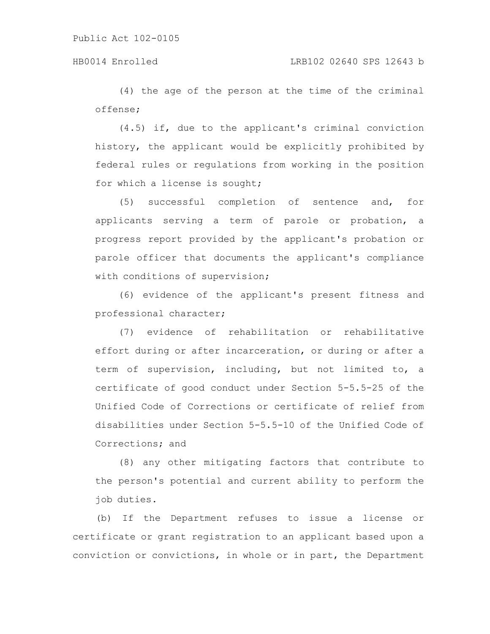(4) the age of the person at the time of the criminal offense;

(4.5) if, due to the applicant's criminal conviction history, the applicant would be explicitly prohibited by federal rules or regulations from working in the position for which a license is sought;

(5) successful completion of sentence and, for applicants serving a term of parole or probation, a progress report provided by the applicant's probation or parole officer that documents the applicant's compliance with conditions of supervision;

(6) evidence of the applicant's present fitness and professional character;

(7) evidence of rehabilitation or rehabilitative effort during or after incarceration, or during or after a term of supervision, including, but not limited to, a certificate of good conduct under Section 5-5.5-25 of the Unified Code of Corrections or certificate of relief from disabilities under Section 5-5.5-10 of the Unified Code of Corrections; and

(8) any other mitigating factors that contribute to the person's potential and current ability to perform the job duties.

(b) If the Department refuses to issue a license or certificate or grant registration to an applicant based upon a conviction or convictions, in whole or in part, the Department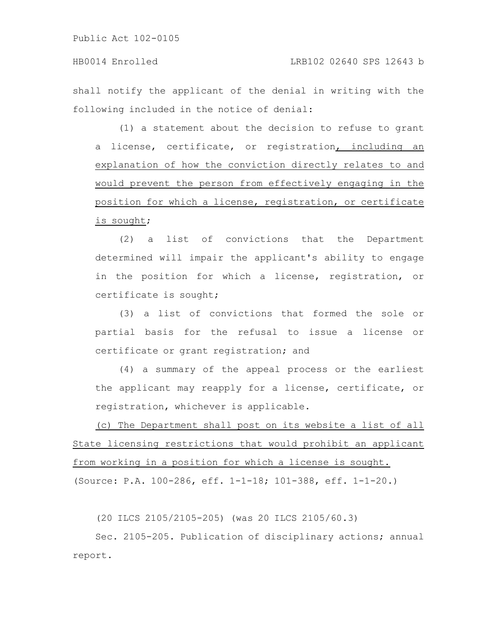shall notify the applicant of the denial in writing with the following included in the notice of denial:

(1) a statement about the decision to refuse to grant a license, certificate, or registration, including an explanation of how the conviction directly relates to and would prevent the person from effectively engaging in the position for which a license, registration, or certificate is sought;

(2) a list of convictions that the Department determined will impair the applicant's ability to engage in the position for which a license, registration, or certificate is sought;

(3) a list of convictions that formed the sole or partial basis for the refusal to issue a license or certificate or grant registration; and

(4) a summary of the appeal process or the earliest the applicant may reapply for a license, certificate, or registration, whichever is applicable.

(c) The Department shall post on its website a list of all State licensing restrictions that would prohibit an applicant from working in a position for which a license is sought. (Source: P.A. 100-286, eff. 1-1-18; 101-388, eff. 1-1-20.)

(20 ILCS 2105/2105-205) (was 20 ILCS 2105/60.3)

Sec. 2105-205. Publication of disciplinary actions; annual report.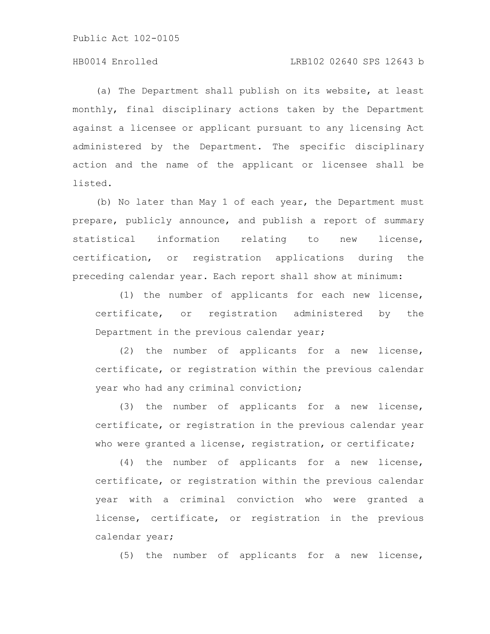## HB0014 Enrolled LRB102 02640 SPS 12643 b

(a) The Department shall publish on its website, at least monthly, final disciplinary actions taken by the Department against a licensee or applicant pursuant to any licensing Act administered by the Department. The specific disciplinary action and the name of the applicant or licensee shall be listed.

(b) No later than May 1 of each year, the Department must prepare, publicly announce, and publish a report of summary statistical information relating to new license, certification, or registration applications during the preceding calendar year. Each report shall show at minimum:

(1) the number of applicants for each new license, certificate, or registration administered by the Department in the previous calendar year;

(2) the number of applicants for a new license, certificate, or registration within the previous calendar year who had any criminal conviction;

(3) the number of applicants for a new license, certificate, or registration in the previous calendar year who were granted a license, registration, or certificate;

(4) the number of applicants for a new license, certificate, or registration within the previous calendar year with a criminal conviction who were granted a license, certificate, or registration in the previous calendar year;

(5) the number of applicants for a new license,